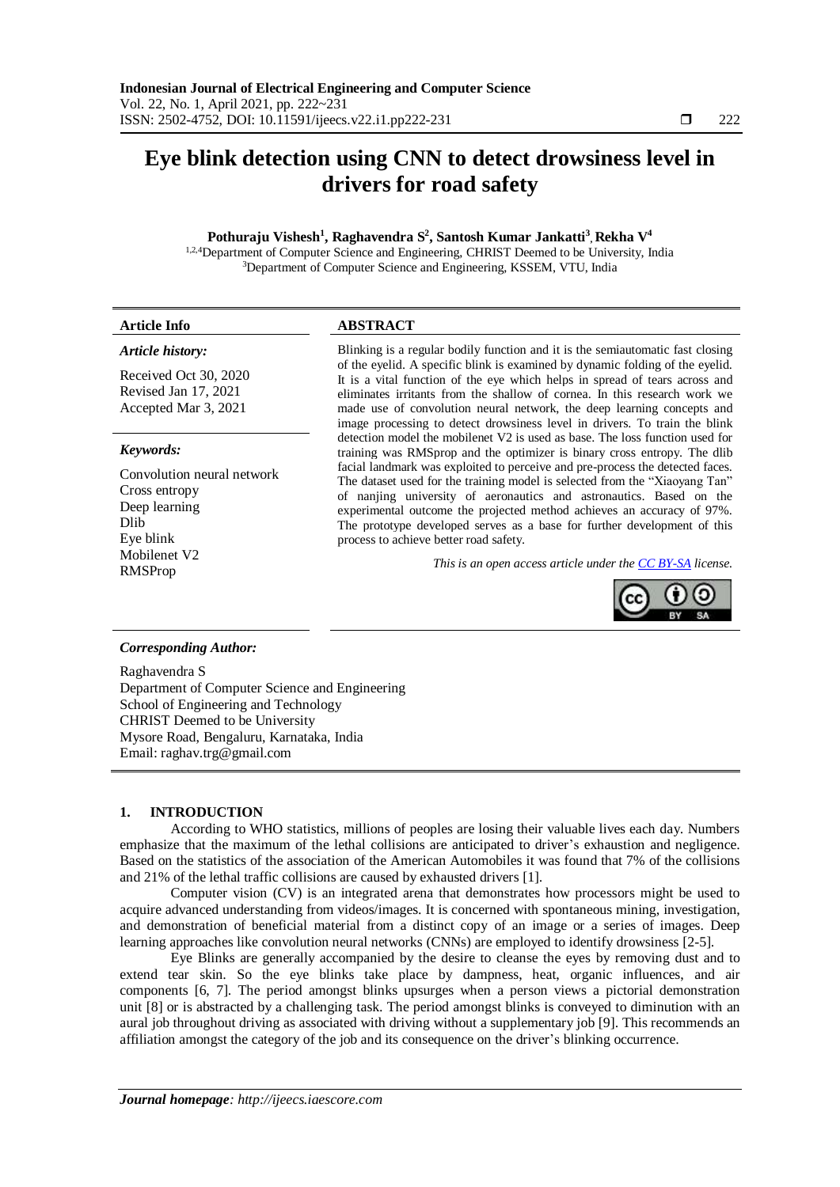# **Eye blink detection using CNN to detect drowsiness level in drivers for road safety**

# **Pothuraju Vishesh<sup>1</sup> , Raghavendra S 2 , Santosh Kumar Jankatti<sup>3</sup> , Rekha V 4**

1,2,4Department of Computer Science and Engineering, CHRIST Deemed to be University, India <sup>3</sup>Department of Computer Science and Engineering, KSSEM, VTU, India

| <b>Article Info</b> | <b>ABSTRACT</b> |  |
|---------------------|-----------------|--|
|                     |                 |  |

# *Article history:*

Received Oct 30, 2020 Revised Jan 17, 2021 Accepted Mar 3, 2021

## *Keywords:*

Convolution neural network Cross entropy Deep learning Dlib Eye blink Mobilenet V2

Blinking is a regular bodily function and it is the semiautomatic fast closing of the eyelid. A specific blink is examined by dynamic folding of the eyelid. It is a vital function of the eye which helps in spread of tears across and eliminates irritants from the shallow of cornea. In this research work we made use of convolution neural network, the deep learning concepts and image processing to detect drowsiness level in drivers. To train the blink detection model the mobilenet V2 is used as base. The loss function used for training was RMSprop and the optimizer is binary cross entropy. The dlib facial landmark was exploited to perceive and pre-process the detected faces. The dataset used for the training model is selected from the "Xiaoyang Tan" of nanjing university of aeronautics and astronautics. Based on the experimental outcome the projected method achieves an accuracy of 97%. The prototype developed serves as a base for further development of this process to achieve better road safety.

RMSProp *This is an open access article under the CC [BY-SA](https://creativecommons.org/licenses/by-sa/4.0/) license.*



# *Corresponding Author:*

Raghavendra S Department of Computer Science and Engineering School of Engineering and Technology CHRIST Deemed to be University Mysore Road, Bengaluru, Karnataka, India Email: raghav.trg@gmail.com

# **1. INTRODUCTION**

According to WHO statistics, millions of peoples are losing their valuable lives each day. Numbers emphasize that the maximum of the lethal collisions are anticipated to driver's exhaustion and negligence. Based on the statistics of the association of the American Automobiles it was found that 7% of the collisions and 21% of the lethal traffic collisions are caused by exhausted drivers [1].

Computer vision (CV) is an integrated arena that demonstrates how processors might be used to acquire advanced understanding from videos/images. It is concerned with spontaneous mining, investigation, and demonstration of beneficial material from a distinct copy of an image or a series of images. Deep learning approaches like convolution neural networks (CNNs) are employed to identify drowsiness [2-5].

Eye Blinks are generally accompanied by the desire to cleanse the eyes by removing dust and to extend tear skin. So the eye blinks take place by dampness, heat, organic influences, and air components [6, 7]. The period amongst blinks upsurges when a person views a pictorial demonstration unit [8] or is abstracted by a challenging task. The period amongst blinks is conveyed to diminution with an aural job throughout driving as associated with driving without a supplementary job [9]. This recommends an affiliation amongst the category of the job and its consequence on the driver's blinking occurrence.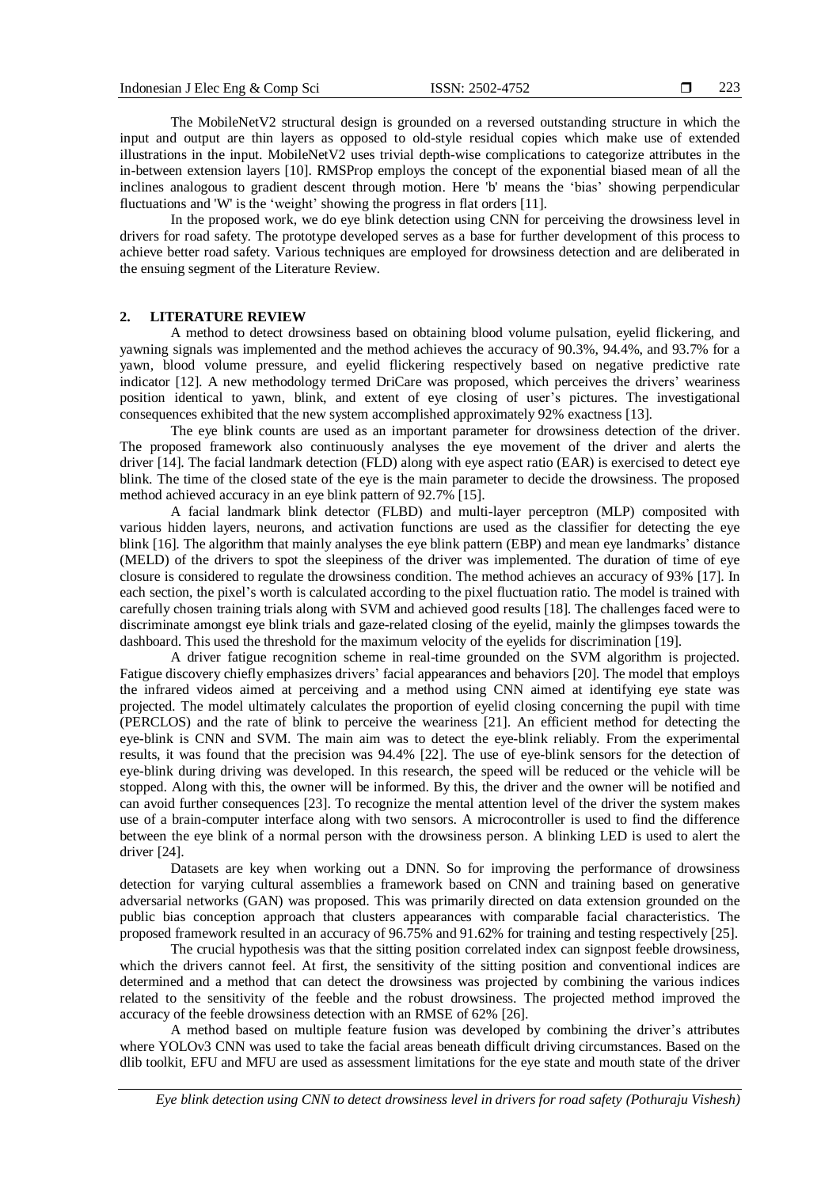The MobileNetV2 structural design is grounded on a reversed outstanding structure in which the input and output are thin layers as opposed to old-style residual copies which make use of extended illustrations in the input. MobileNetV2 uses trivial depth-wise complications to categorize attributes in the in-between extension layers [10]. RMSProp employs the concept of the exponential biased mean of all the inclines analogous to gradient descent through motion. Here 'b' means the 'bias' showing perpendicular fluctuations and 'W' is the 'weight' showing the progress in flat orders [11].

In the proposed work, we do eye blink detection using CNN for perceiving the drowsiness level in drivers for road safety. The prototype developed serves as a base for further development of this process to achieve better road safety. Various techniques are employed for drowsiness detection and are deliberated in the ensuing segment of the Literature Review.

#### **2. LITERATURE REVIEW**

A method to detect drowsiness based on obtaining blood volume pulsation, eyelid flickering, and yawning signals was implemented and the method achieves the accuracy of 90.3%, 94.4%, and 93.7% for a yawn, blood volume pressure, and eyelid flickering respectively based on negative predictive rate indicator [12]. A new methodology termed DriCare was proposed, which perceives the drivers' weariness position identical to yawn, blink, and extent of eye closing of user's pictures. The investigational consequences exhibited that the new system accomplished approximately 92% exactness [13].

The eye blink counts are used as an important parameter for drowsiness detection of the driver. The proposed framework also continuously analyses the eye movement of the driver and alerts the driver [14]. The facial landmark detection (FLD) along with eye aspect ratio (EAR) is exercised to detect eye blink. The time of the closed state of the eye is the main parameter to decide the drowsiness. The proposed method achieved accuracy in an eye blink pattern of 92.7% [15].

A facial landmark blink detector (FLBD) and multi-layer perceptron (MLP) composited with various hidden layers, neurons, and activation functions are used as the classifier for detecting the eye blink [16]. The algorithm that mainly analyses the eye blink pattern (EBP) and mean eye landmarks' distance (MELD) of the drivers to spot the sleepiness of the driver was implemented. The duration of time of eye closure is considered to regulate the drowsiness condition. The method achieves an accuracy of 93% [17]. In each section, the pixel's worth is calculated according to the pixel fluctuation ratio. The model is trained with carefully chosen training trials along with SVM and achieved good results [18]. The challenges faced were to discriminate amongst eye blink trials and gaze-related closing of the eyelid, mainly the glimpses towards the dashboard. This used the threshold for the maximum velocity of the eyelids for discrimination [19].

A driver fatigue recognition scheme in real-time grounded on the SVM algorithm is projected. Fatigue discovery chiefly emphasizes drivers' facial appearances and behaviors [20]. The model that employs the infrared videos aimed at perceiving and a method using CNN aimed at identifying eye state was projected. The model ultimately calculates the proportion of eyelid closing concerning the pupil with time (PERCLOS) and the rate of blink to perceive the weariness [21]. An efficient method for detecting the eye-blink is CNN and SVM. The main aim was to detect the eye-blink reliably. From the experimental results, it was found that the precision was 94.4% [22]. The use of eye-blink sensors for the detection of eye-blink during driving was developed. In this research, the speed will be reduced or the vehicle will be stopped. Along with this, the owner will be informed. By this, the driver and the owner will be notified and can avoid further consequences [23]. To recognize the mental attention level of the driver the system makes use of a brain-computer interface along with two sensors. A microcontroller is used to find the difference between the eye blink of a normal person with the drowsiness person. A blinking LED is used to alert the driver [24].

Datasets are key when working out a DNN. So for improving the performance of drowsiness detection for varying cultural assemblies a framework based on CNN and training based on generative adversarial networks (GAN) was proposed. This was primarily directed on data extension grounded on the public bias conception approach that clusters appearances with comparable facial characteristics. The proposed framework resulted in an accuracy of 96.75% and 91.62% for training and testing respectively [25].

The crucial hypothesis was that the sitting position correlated index can signpost feeble drowsiness, which the drivers cannot feel. At first, the sensitivity of the sitting position and conventional indices are determined and a method that can detect the drowsiness was projected by combining the various indices related to the sensitivity of the feeble and the robust drowsiness. The projected method improved the accuracy of the feeble drowsiness detection with an RMSE of 62% [26].

A method based on multiple feature fusion was developed by combining the driver's attributes where YOLOv3 CNN was used to take the facial areas beneath difficult driving circumstances. Based on the dlib toolkit, EFU and MFU are used as assessment limitations for the eye state and mouth state of the driver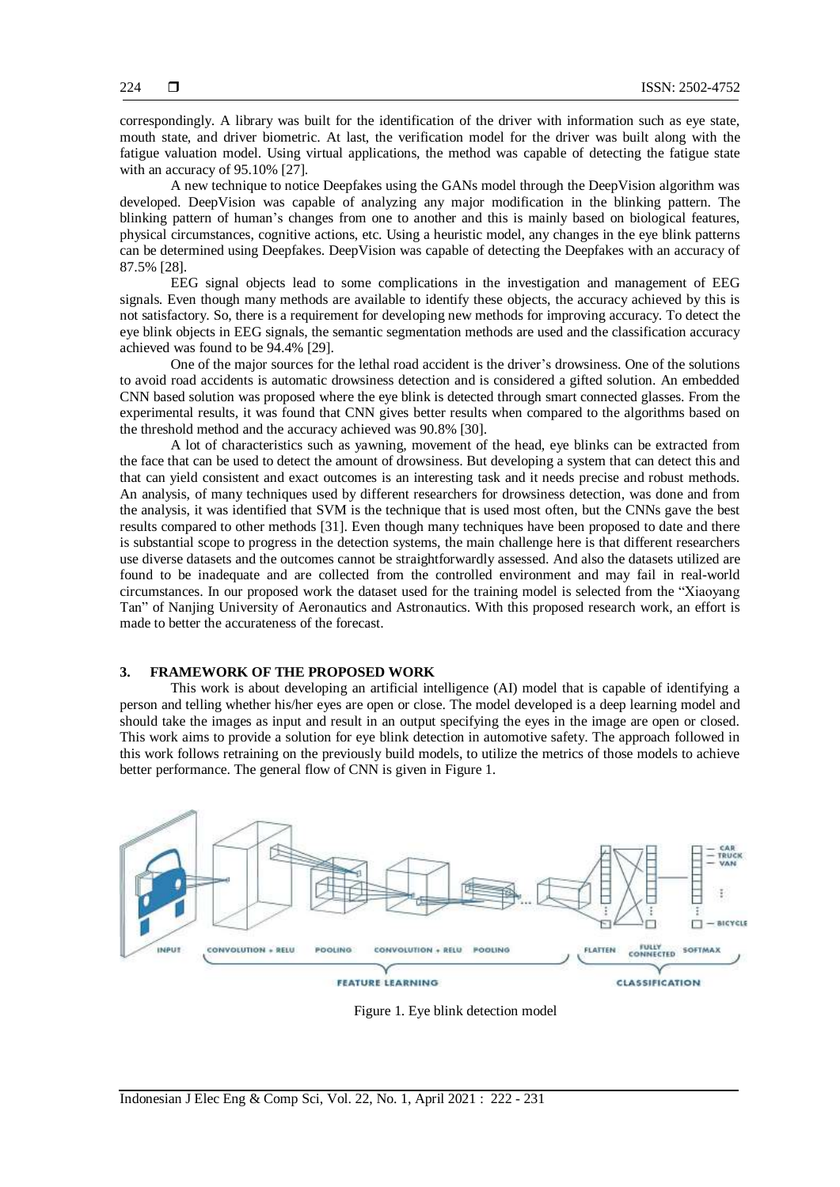correspondingly. A library was built for the identification of the driver with information such as eye state, mouth state, and driver biometric. At last, the verification model for the driver was built along with the fatigue valuation model. Using virtual applications, the method was capable of detecting the fatigue state with an accuracy of 95.10% [27].

A new technique to notice Deepfakes using the GANs model through the DeepVision algorithm was developed. DeepVision was capable of analyzing any major modification in the blinking pattern. The blinking pattern of human's changes from one to another and this is mainly based on biological features, physical circumstances, cognitive actions, etc. Using a heuristic model, any changes in the eye blink patterns can be determined using Deepfakes. DeepVision was capable of detecting the Deepfakes with an accuracy of 87.5% [28].

EEG signal objects lead to some complications in the investigation and management of EEG signals. Even though many methods are available to identify these objects, the accuracy achieved by this is not satisfactory. So, there is a requirement for developing new methods for improving accuracy. To detect the eye blink objects in EEG signals, the semantic segmentation methods are used and the classification accuracy achieved was found to be 94.4% [29].

One of the major sources for the lethal road accident is the driver's drowsiness. One of the solutions to avoid road accidents is automatic drowsiness detection and is considered a gifted solution. An embedded CNN based solution was proposed where the eye blink is detected through smart connected glasses. From the experimental results, it was found that CNN gives better results when compared to the algorithms based on the threshold method and the accuracy achieved was 90.8% [30].

A lot of characteristics such as yawning, movement of the head, eye blinks can be extracted from the face that can be used to detect the amount of drowsiness. But developing a system that can detect this and that can yield consistent and exact outcomes is an interesting task and it needs precise and robust methods. An analysis, of many techniques used by different researchers for drowsiness detection, was done and from the analysis, it was identified that SVM is the technique that is used most often, but the CNNs gave the best results compared to other methods [31]. Even though many techniques have been proposed to date and there is substantial scope to progress in the detection systems, the main challenge here is that different researchers use diverse datasets and the outcomes cannot be straightforwardly assessed. And also the datasets utilized are found to be inadequate and are collected from the controlled environment and may fail in real-world circumstances. In our proposed work the dataset used for the training model is selected from the "Xiaoyang Tan" of Nanjing University of Aeronautics and Astronautics. With this proposed research work, an effort is made to better the accurateness of the forecast.

#### **3. FRAMEWORK OF THE PROPOSED WORK**

This work is about developing an artificial intelligence (AI) model that is capable of identifying a person and telling whether his/her eyes are open or close. The model developed is a deep learning model and should take the images as input and result in an output specifying the eyes in the image are open or closed. This work aims to provide a solution for eye blink detection in automotive safety. The approach followed in this work follows retraining on the previously build models, to utilize the metrics of those models to achieve better performance. The general flow of CNN is given in Figure 1.



Figure 1. Eye blink detection model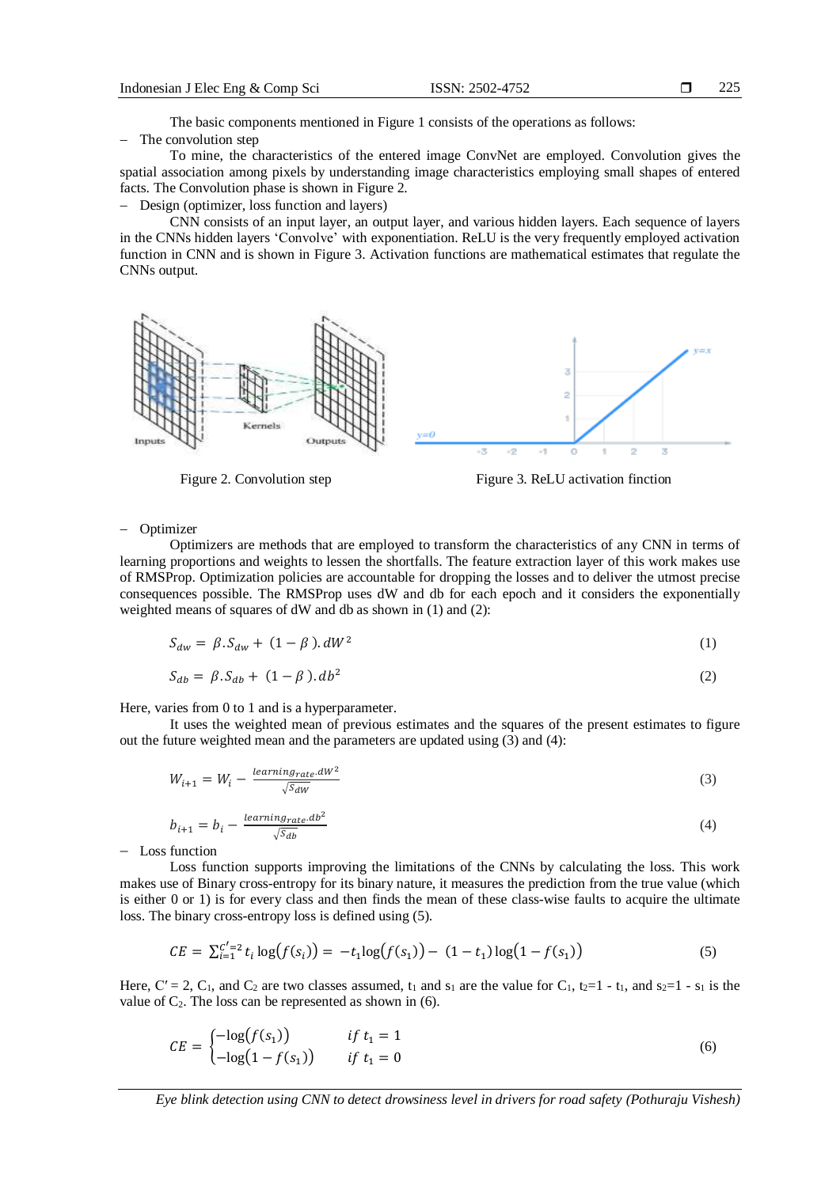The basic components mentioned in Figure 1 consists of the operations as follows:

The convolution step

To mine, the characteristics of the entered image ConvNet are employed. Convolution gives the spatial association among pixels by understanding image characteristics employing small shapes of entered facts. The Convolution phase is shown in Figure 2.

Design (optimizer, loss function and layers)

CNN consists of an input layer, an output layer, and various hidden layers. Each sequence of layers in the CNNs hidden layers 'Convolve' with exponentiation. ReLU is the very frequently employed activation function in CNN and is shown in Figure 3. Activation functions are mathematical estimates that regulate the CNNs output.



Figure 2. Convolution step Figure 3. ReLU activation finction

Optimizer

Optimizers are methods that are employed to transform the characteristics of any CNN in terms of learning proportions and weights to lessen the shortfalls. The feature extraction layer of this work makes use of RMSProp. Optimization policies are accountable for dropping the losses and to deliver the utmost precise consequences possible. The RMSProp uses dW and db for each epoch and it considers the exponentially weighted means of squares of dW and db as shown in (1) and (2):

$$
S_{dw} = \beta \cdot S_{dw} + (1 - \beta) \cdot dW^2 \tag{1}
$$

$$
S_{ab} = \beta \cdot S_{ab} + (1 - \beta) \cdot db^2 \tag{2}
$$

Here, varies from 0 to 1 and is a hyperparameter.

It uses the weighted mean of previous estimates and the squares of the present estimates to figure out the future weighted mean and the parameters are updated using (3) and (4):

$$
W_{i+1} = W_i - \frac{learning_{rate}.dW^2}{\sqrt{S_{dW}}} \tag{3}
$$

$$
b_{i+1} = b_i - \frac{learning_{rate}.db^2}{\sqrt{S_{db}}}
$$
\n
$$
\tag{4}
$$

 $-$  Loss function

Loss function supports improving the limitations of the CNNs by calculating the loss. This work makes use of Binary cross-entropy for its binary nature, it measures the prediction from the true value (which is either 0 or 1) is for every class and then finds the mean of these class-wise faults to acquire the ultimate loss. The binary cross-entropy loss is defined using (5).

$$
CE = \sum_{i=1}^{C'=2} t_i \log(f(s_i)) = -t_1 \log(f(s_1)) - (1 - t_1) \log(1 - f(s_1))
$$
\n(5)

Here,  $C' = 2$ ,  $C_1$ , and  $C_2$  are two classes assumed,  $t_1$  and  $s_1$  are the value for  $C_1$ ,  $t_2=1$  -  $t_1$ , and  $s_2=1$  -  $s_1$  is the value of  $C_2$ . The loss can be represented as shown in (6).

$$
CE = \begin{cases}\n-\log(f(s_1)) & \text{if } t_1 = 1 \\
-\log(1 - f(s_1)) & \text{if } t_1 = 0\n\end{cases}\n\tag{6}
$$

*Eye blink detection using CNN to detect drowsiness level in drivers for road safety (Pothuraju Vishesh)*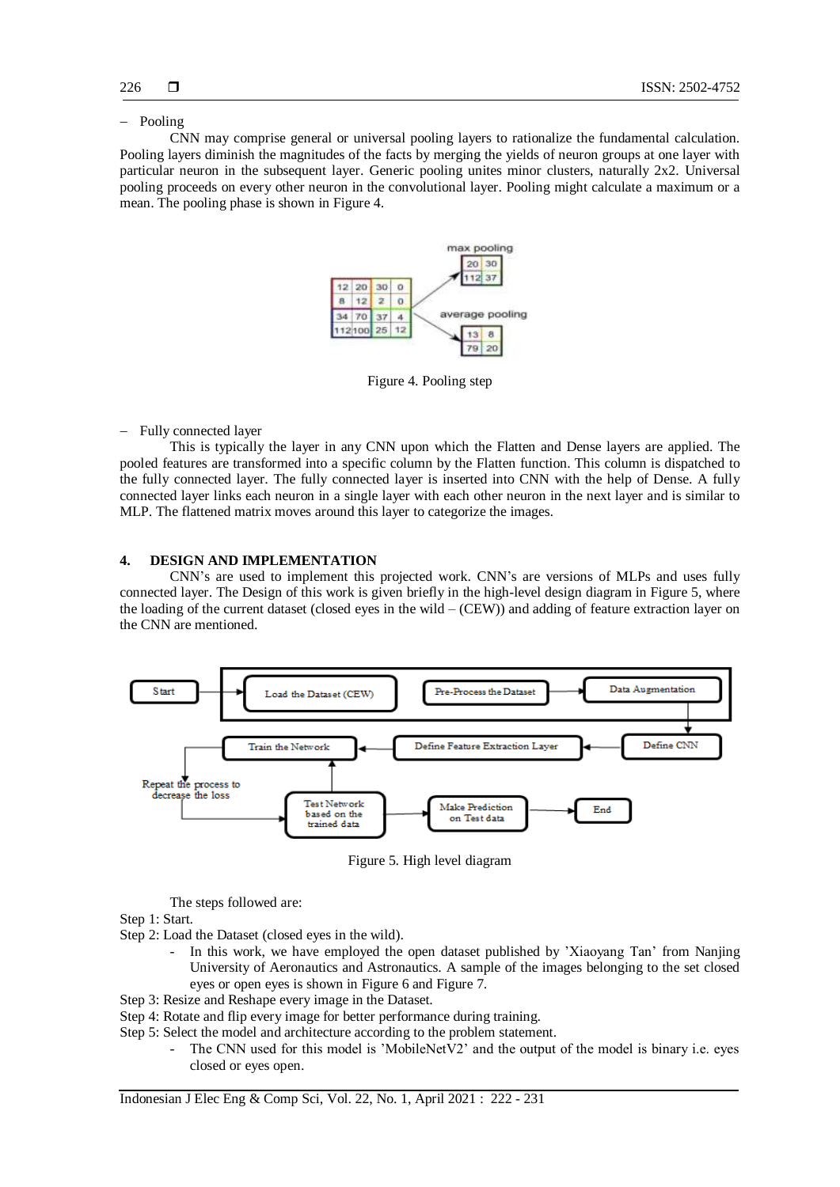#### - Pooling

CNN may comprise general or universal pooling layers to rationalize the fundamental calculation. Pooling layers diminish the magnitudes of the facts by merging the yields of neuron groups at one layer with particular neuron in the subsequent layer. Generic pooling unites minor clusters, naturally 2x2. Universal pooling proceeds on every other neuron in the convolutional layer. Pooling might calculate a maximum or a mean. The pooling phase is shown in Figure 4.



Figure 4. Pooling step

- Fully connected layer

This is typically the layer in any CNN upon which the Flatten and Dense layers are applied. The pooled features are transformed into a specific column by the Flatten function. This column is dispatched to the fully connected layer. The fully connected layer is inserted into CNN with the help of Dense. A fully connected layer links each neuron in a single layer with each other neuron in the next layer and is similar to MLP. The flattened matrix moves around this layer to categorize the images.

#### **4. DESIGN AND IMPLEMENTATION**

CNN's are used to implement this projected work. CNN's are versions of MLPs and uses fully connected layer. The Design of this work is given briefly in the high-level design diagram in Figure 5, where the loading of the current dataset (closed eyes in the wild – (CEW)) and adding of feature extraction layer on the CNN are mentioned.



Figure 5. High level diagram

The steps followed are:

- Step 1: Start.
- Step 2: Load the Dataset (closed eyes in the wild).
	- In this work, we have employed the open dataset published by 'Xiaoyang Tan' from Nanjing University of Aeronautics and Astronautics. A sample of the images belonging to the set closed eyes or open eyes is shown in Figure 6 and Figure 7.
- Step 3: Resize and Reshape every image in the Dataset.
- Step 4: Rotate and flip every image for better performance during training.
- Step 5: Select the model and architecture according to the problem statement.
	- The CNN used for this model is 'MobileNetV2' and the output of the model is binary i.e. eyes closed or eyes open.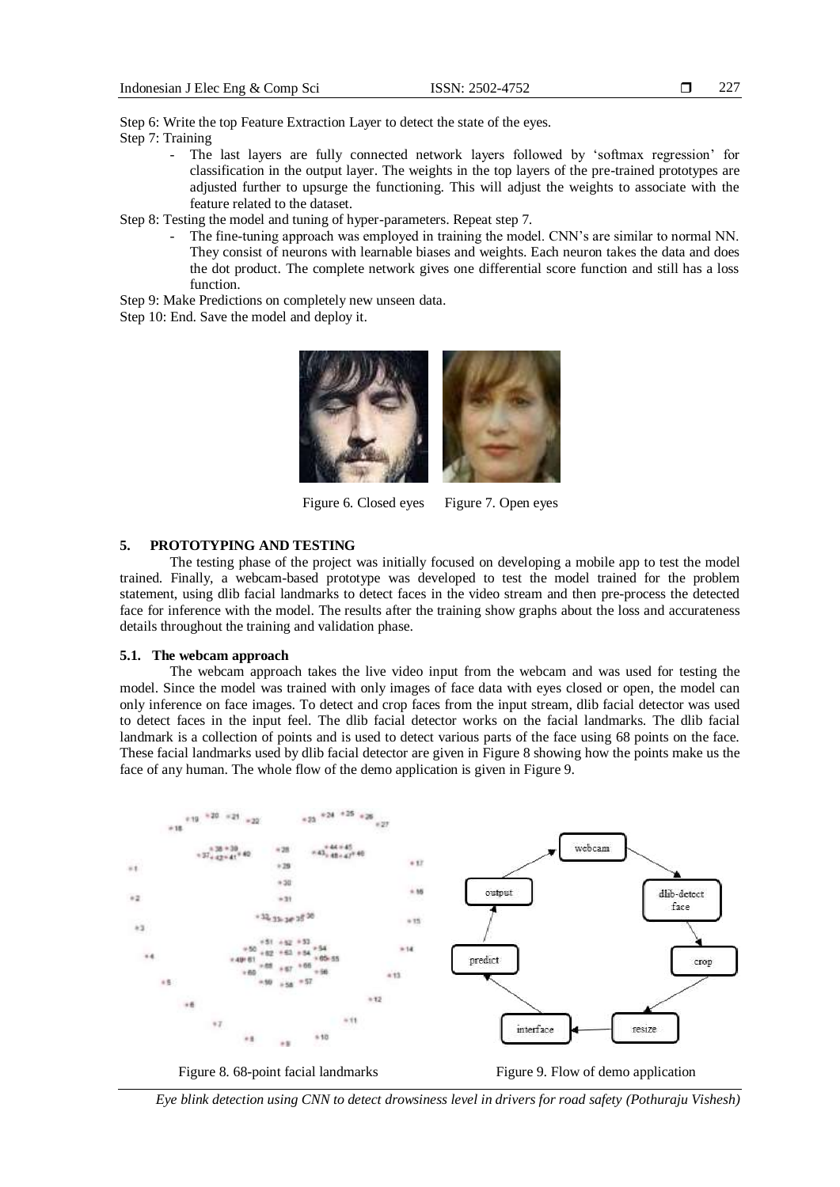Step 6: Write the top Feature Extraction Layer to detect the state of the eyes. Step 7: Training

> The last layers are fully connected network layers followed by 'softmax regression' for classification in the output layer. The weights in the top layers of the pre-trained prototypes are adjusted further to upsurge the functioning. This will adjust the weights to associate with the feature related to the dataset.

Step 8: Testing the model and tuning of hyper-parameters. Repeat step 7.

- The fine-tuning approach was employed in training the model. CNN's are similar to normal NN. They consist of neurons with learnable biases and weights. Each neuron takes the data and does the dot product. The complete network gives one differential score function and still has a loss function.
- Step 9: Make Predictions on completely new unseen data.

Step 10: End. Save the model and deploy it.



Figure 6. Closed eyes Figure 7. Open eyes

## **5. PROTOTYPING AND TESTING**

The testing phase of the project was initially focused on developing a mobile app to test the model trained. Finally, a webcam-based prototype was developed to test the model trained for the problem statement, using dlib facial landmarks to detect faces in the video stream and then pre-process the detected face for inference with the model. The results after the training show graphs about the loss and accurateness details throughout the training and validation phase.

#### **5.1. The webcam approach**

The webcam approach takes the live video input from the webcam and was used for testing the model. Since the model was trained with only images of face data with eyes closed or open, the model can only inference on face images. To detect and crop faces from the input stream, dlib facial detector was used to detect faces in the input feel. The dlib facial detector works on the facial landmarks. The dlib facial landmark is a collection of points and is used to detect various parts of the face using 68 points on the face. These facial landmarks used by dlib facial detector are given in Figure 8 showing how the points make us the face of any human. The whole flow of the demo application is given in Figure 9.



Figure 8. 68-point facial landmarks Figure 9. Flow of demo application

*Eye blink detection using CNN to detect drowsiness level in drivers for road safety (Pothuraju Vishesh)*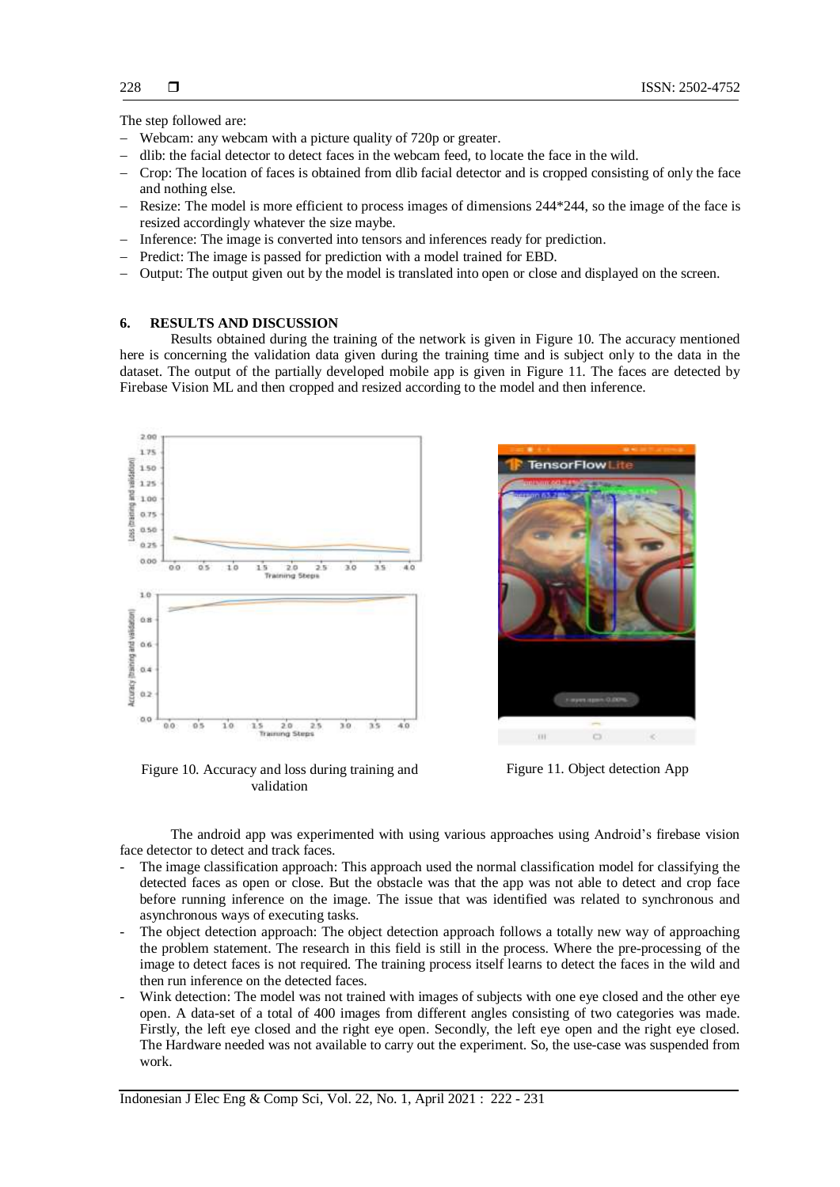The step followed are:

- Webcam: any webcam with a picture quality of 720p or greater.
- dlib: the facial detector to detect faces in the webcam feed, to locate the face in the wild.
- Crop: The location of faces is obtained from dlib facial detector and is cropped consisting of only the face and nothing else.
- Resize: The model is more efficient to process images of dimensions 244\*244, so the image of the face is resized accordingly whatever the size maybe.
- Inference: The image is converted into tensors and inferences ready for prediction.
- Predict: The image is passed for prediction with a model trained for EBD.
- Output: The output given out by the model is translated into open or close and displayed on the screen.

#### **6. RESULTS AND DISCUSSION**

Results obtained during the training of the network is given in Figure 10. The accuracy mentioned here is concerning the validation data given during the training time and is subject only to the data in the dataset. The output of the partially developed mobile app is given in Figure 11. The faces are detected by Firebase Vision ML and then cropped and resized according to the model and then inference.



Figure 10. Accuracy and loss during training and validation



Figure 11. Object detection App

The android app was experimented with using various approaches using Android's firebase vision face detector to detect and track faces.

- The image classification approach: This approach used the normal classification model for classifying the detected faces as open or close. But the obstacle was that the app was not able to detect and crop face before running inference on the image. The issue that was identified was related to synchronous and asynchronous ways of executing tasks.
- The object detection approach: The object detection approach follows a totally new way of approaching the problem statement. The research in this field is still in the process. Where the pre-processing of the image to detect faces is not required. The training process itself learns to detect the faces in the wild and then run inference on the detected faces.
- Wink detection: The model was not trained with images of subjects with one eye closed and the other eye open. A data-set of a total of 400 images from different angles consisting of two categories was made. Firstly, the left eye closed and the right eye open. Secondly, the left eye open and the right eye closed. The Hardware needed was not available to carry out the experiment. So, the use-case was suspended from work.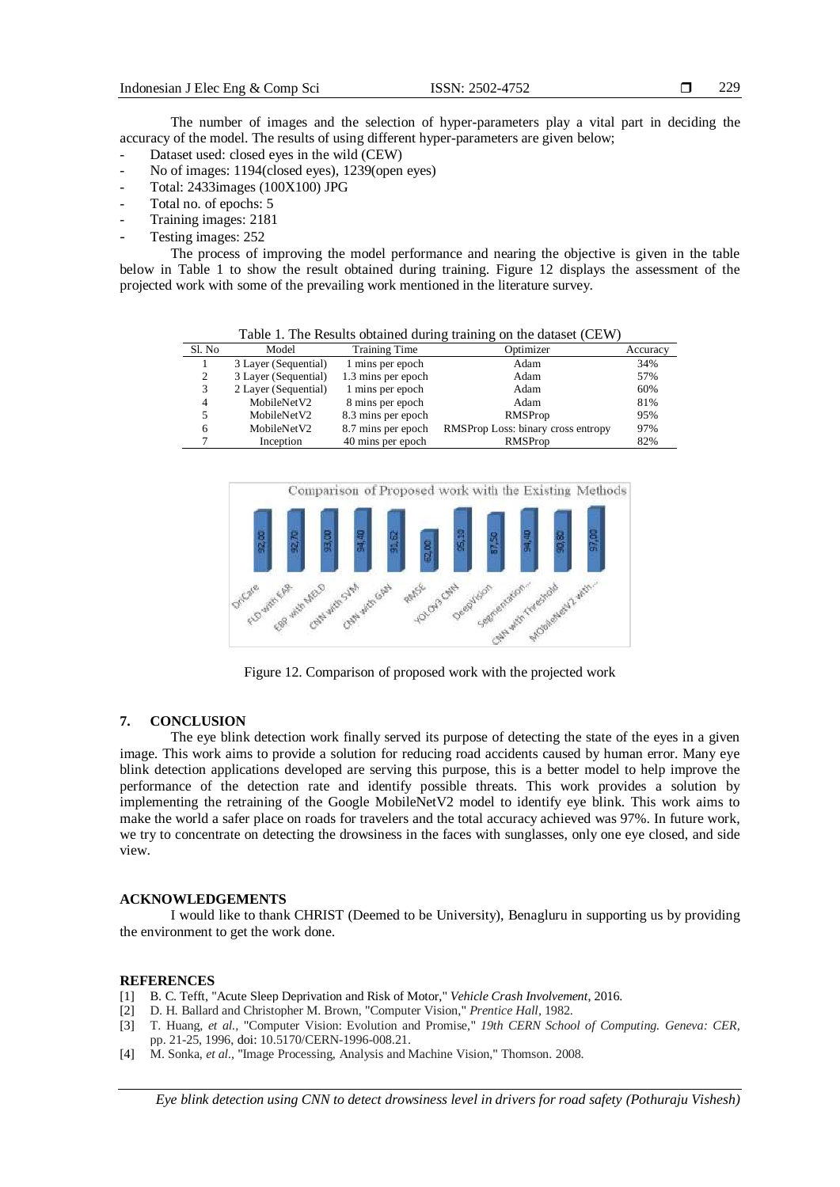The number of images and the selection of hyper-parameters play a vital part in deciding the accuracy of the model. The results of using different hyper-parameters are given below;

- Dataset used: closed eyes in the wild (CEW)
- No of images: 1194(closed eyes), 1239(open eyes)
- Total: 2433images (100X100) JPG
- Total no. of epochs: 5
- Training images: 2181
- Testing images: 252

The process of improving the model performance and nearing the objective is given in the table below in Table 1 to show the result obtained during training. Figure 12 displays the assessment of the projected work with some of the prevailing work mentioned in the literature survey.

Table 1. The Results obtained during training on the dataset (CEW)

| Sl. No       | Model                | <b>Training Time</b> | Optimizer                          | Accuracy |
|--------------|----------------------|----------------------|------------------------------------|----------|
|              | 3 Layer (Sequential) | 1 mins per epoch     | Adam                               | 34%      |
|              | 3 Layer (Sequential) | 1.3 mins per epoch   | Adam                               | 57%      |
|              | 2 Layer (Sequential) | 1 mins per epoch     | Adam                               | 60%      |
|              | MobileNetV2          | 8 mins per epoch     | Adam                               | 81%      |
|              | MobileNetV2          | 8.3 mins per epoch   | RMSProp                            | 95%      |
| <sub>6</sub> | MobileNetV2          | 8.7 mins per epoch   | RMSProp Loss: binary cross entropy | 97%      |
|              | Inception            | 40 mins per epoch    | RMSProp                            | 82%      |
|              |                      |                      |                                    |          |



Figure 12. Comparison of proposed work with the projected work

## **7. CONCLUSION**

The eye blink detection work finally served its purpose of detecting the state of the eyes in a given image. This work aims to provide a solution for reducing road accidents caused by human error. Many eye blink detection applications developed are serving this purpose, this is a better model to help improve the performance of the detection rate and identify possible threats. This work provides a solution by implementing the retraining of the Google MobileNetV2 model to identify eye blink. This work aims to make the world a safer place on roads for travelers and the total accuracy achieved was 97%. In future work, we try to concentrate on detecting the drowsiness in the faces with sunglasses, only one eye closed, and side view.

#### **ACKNOWLEDGEMENTS**

I would like to thank CHRIST (Deemed to be University), Benagluru in supporting us by providing the environment to get the work done.

#### **REFERENCES**

- [1] B. C. Tefft, "Acute Sleep Deprivation and Risk of Motor," *Vehicle Crash Involvement*, 2016.
- [2] D. H. Ballard and Christopher M. Brown, "Computer Vision," *Prentice Hall,* 1982.
- [3] T. Huang, *et al.,* "Computer Vision: Evolution and Promise," *19th CERN School of Computing. Geneva: CER,* pp. 21-25, 1996, doi: 10.5170/CERN-1996-008.21.
- [4] M. Sonka, *et al.,* "Image Processing, Analysis and Machine Vision," Thomson. 2008.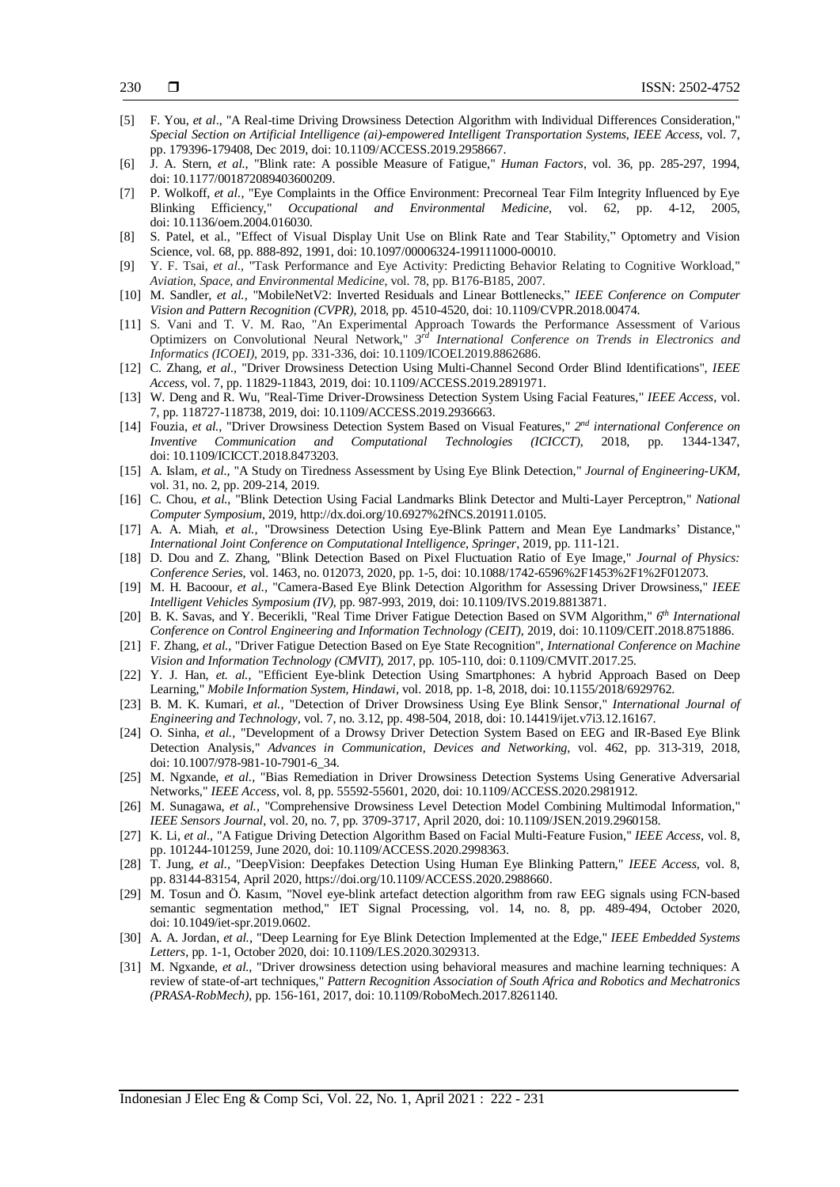- [5] F. You, *et al*., "A Real-time Driving Drowsiness Detection Algorithm with Individual Differences Consideration," *Special Section on Artificial Intelligence (ai)-empowered Intelligent Transportation Systems, IEEE Access*, vol. 7, pp. 179396-179408, Dec 2019, doi: 10.1109/ACCESS.2019.2958667.
- [6] J. A. Stern, *et al.,* "Blink rate: A possible Measure of Fatigue," *Human Factors*, vol. 36, pp. 285-297, 1994, doi: [10.1177/001872089403600209.](https://doi.org/10.1177/001872089403600209)
- [7] P. Wolkoff, *et al.,* "Eye Complaints in the Office Environment: Precorneal Tear Film Integrity Influenced by Eye Blinking Efficiency," *Occupational and Environmental Medicine*, vol. 62, pp. 4-12, 2005, doi: 10.1136/oem.2004.016030.
- [8] S. Patel, et al., "Effect of Visual Display Unit Use on Blink Rate and Tear Stability," Optometry and Vision Science, vol. 68, pp. 888-892, 1991, doi: [10.1097/00006324-199111000-00010.](https://doi.org/10.1097/00006324-199111000-00010)
- [9] Y. F. Tsai, *et al.,* "Task Performance and Eye Activity: Predicting Behavior Relating to Cognitive Workload," *Aviation, Space, and Environmental Medicine*, vol. 78, pp. B176-B185, 2007.
- [10] M. Sandler, *et al.,* "MobileNetV2: Inverted Residuals and Linear Bottlenecks," *IEEE Conference on Computer Vision and Pattern Recognition (CVPR)*, 2018, pp. 4510-4520, doi[: 10.1109/CVPR.2018.00474.](https://www.researchgate.net/deref/http%3A%2F%2Fdx.doi.org%2F10.1109%2FCVPR.2018.00474)
- [11] S. Vani and T. V. M. Rao, "An Experimental Approach Towards the Performance Assessment of Various Optimizers on Convolutional Neural Network," *3 rd International Conference on Trends in Electronics and Informatics (ICOEI),* 2019, pp. 331-336, doi: 10.1109/ICOEI.2019.8862686.
- [12] C. Zhang, *et al.,* "Driver Drowsiness Detection Using Multi-Channel Second Order Blind Identifications", *IEEE Access*, vol. 7, pp. 11829-11843, 2019, doi: 10.1109/ACCESS.2019.2891971.
- [13] W. Deng and R. Wu, "Real-Time Driver-Drowsiness Detection System Using Facial Features," *IEEE Access*, vol. 7, pp. 118727-118738, 2019, doi: 10.1109/ACCESS.2019.2936663.
- [14] Fouzia, *et al.,* "Driver Drowsiness Detection System Based on Visual Features," *2 nd international Conference on Inventive Communication and Computational Technologies (ICICCT)*, 2018, pp. 1344-1347, doi: 10.1109/ICICCT.2018.8473203.
- [15] A. Islam, *et al.,* "A Study on Tiredness Assessment by Using Eye Blink Detection," *Journal of Engineering-UKM,* vol. 31, no. 2, pp. 209-214, 2019.
- [16] C. Chou, *et al.*, "Blink Detection Using Facial Landmarks Blink Detector and Multi-Layer Perceptron," *National Computer Symposium*, 2019, http://dx.doi.org/10.6927%2fNCS.201911.0105.
- [17] A. A. Miah, *et al.,* "Drowsiness Detection Using Eye-Blink Pattern and Mean Eye Landmarks' Distance," *International Joint Conference on Computational Intelligence*, *Springer*, 2019, pp. 111-121.
- [18] D. Dou and Z. Zhang, "Blink Detection Based on Pixel Fluctuation Ratio of Eye Image," *Journal of Physics: Conference Series*, vol. 1463, no. 012073, 2020, pp. 1-5, doi: 10.1088/1742-6596%2F1453%2F1%2F012073.
- [19] M. H. Bacoour, *et al.,* "Camera-Based Eye Blink Detection Algorithm for Assessing Driver Drowsiness," *IEEE Intelligent Vehicles Symposium (IV)*, pp. 987-993, 2019, doi: 10.1109/IVS.2019.8813871.
- [20] B. K. Savas, and Y. Becerikli, "Real Time Driver Fatigue Detection Based on SVM Algorithm," *6 th International Conference on Control Engineering and Information Technology (CEIT)*, 2019, doi: 10.1109/CEIT.2018.8751886.
- [21] F. Zhang, *et al.,* "Driver Fatigue Detection Based on Eye State Recognition", *International Conference on Machine Vision and Information Technology (CMVIT)*, 2017, pp. 105-110, doi: 0.1109/CMVIT.2017.25.
- [22] Y. J. Han, *et. al.*, "Efficient Eye-blink Detection Using Smartphones: A hybrid Approach Based on Deep Learning," *Mobile Information System, Hindawi,* vol. 2018, pp. 1-8, 2018, doi: 10.1155/2018/6929762.
- [23] B. M. K. Kumari, *et al.,* "Detection of Driver Drowsiness Using Eye Blink Sensor," *International Journal of Engineering and Technology,* vol. 7, no. 3.12, pp. 498-504, 2018, doi: 10.14419/ijet.v7i3.12.16167.
- [24] O. Sinha, *et al.,* "Development of a Drowsy Driver Detection System Based on EEG and IR-Based Eye Blink Detection Analysis," *Advances in Communication, Devices and Networking,* vol. 462, pp. 313-319, 2018, doi: [10.1007/978-981-10-7901-6\\_34.](https://www.researchgate.net/deref/http%3A%2F%2Fdx.doi.org%2F10.1007%2F978-981-10-7901-6_34)
- [25] M. Ngxande, *et al*., "Bias Remediation in Driver Drowsiness Detection Systems Using Generative Adversarial Networks," *IEEE Access*, vol. 8, pp. 55592-55601, 2020, doi: 10.1109/ACCESS.2020.2981912.
- [26] M. Sunagawa, *et al.,* "Comprehensive Drowsiness Level Detection Model Combining Multimodal Information," *IEEE Sensors Journal*, vol. 20, no. 7, pp. 3709-3717, April 2020, doi: 10.1109/JSEN.2019.2960158.
- [27] K. Li, *et al.,* "A Fatigue Driving Detection Algorithm Based on Facial Multi-Feature Fusion," *IEEE Access*, vol. 8, pp. 101244-101259, June 2020, doi: 10.1109/ACCESS.2020.2998363.
- [28] T. Jung, *et al.,* "DeepVision: Deepfakes Detection Using Human Eye Blinking Pattern," *IEEE Access*, vol. 8, pp. 83144-83154, April 2020, https://doi.org/10.1109/ACCESS.2020.2988660.
- [29] M. Tosun and Ö. Kasım, "Novel eye-blink artefact detection algorithm from raw EEG signals using FCN-based semantic segmentation method," IET Signal Processing, vol. 14, no. 8, pp. 489-494, October 2020, doi: 10.1049/iet-spr.2019.0602.
- [30] A. A. Jordan, *et al.,* "Deep Learning for Eye Blink Detection Implemented at the Edge," *IEEE Embedded Systems Letters*, pp. 1-1, October 2020, doi: 10.1109/LES.2020.3029313.
- [31] M. Ngxande, *et al.,* "Driver drowsiness detection using behavioral measures and machine learning techniques: A review of state-of-art techniques," *Pattern Recognition Association of South Africa and Robotics and Mechatronics (PRASA-RobMech)*, pp. 156-161, 2017, doi: 10.1109/RoboMech.2017.8261140.